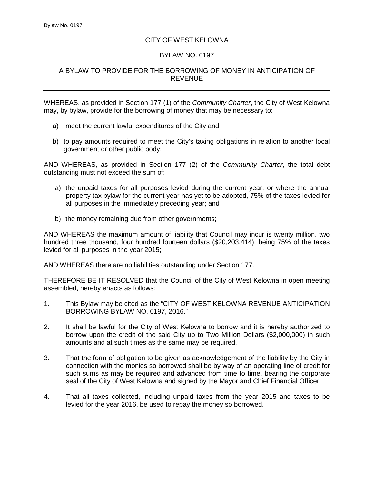## CITY OF WEST KELOWNA

## BYLAW NO. 0197

## A BYLAW TO PROVIDE FOR THE BORROWING OF MONEY IN ANTICIPATION OF REVENUE

WHEREAS, as provided in Section 177 (1) of the *Community Charter*, the City of West Kelowna may, by bylaw, provide for the borrowing of money that may be necessary to:

- a) meet the current lawful expenditures of the City and
- b) to pay amounts required to meet the City's taxing obligations in relation to another local government or other public body;

AND WHEREAS, as provided in Section 177 (2) of the *Community Charter*, the total debt outstanding must not exceed the sum of:

- a) the unpaid taxes for all purposes levied during the current year, or where the annual property tax bylaw for the current year has yet to be adopted, 75% of the taxes levied for all purposes in the immediately preceding year; and
- b) the money remaining due from other governments;

AND WHEREAS the maximum amount of liability that Council may incur is twenty million, two hundred three thousand, four hundred fourteen dollars (\$20,203,414), being 75% of the taxes levied for all purposes in the year 2015;

AND WHEREAS there are no liabilities outstanding under Section 177.

THEREFORE BE IT RESOLVED that the Council of the City of West Kelowna in open meeting assembled, hereby enacts as follows:

- 1. This Bylaw may be cited as the "CITY OF WEST KELOWNA REVENUE ANTICIPATION BORROWING BYLAW NO. 0197, 2016."
- 2. It shall be lawful for the City of West Kelowna to borrow and it is hereby authorized to borrow upon the credit of the said City up to Two Million Dollars (\$2,000,000) in such amounts and at such times as the same may be required.
- 3. That the form of obligation to be given as acknowledgement of the liability by the City in connection with the monies so borrowed shall be by way of an operating line of credit for such sums as may be required and advanced from time to time, bearing the corporate seal of the City of West Kelowna and signed by the Mayor and Chief Financial Officer.
- 4. That all taxes collected, including unpaid taxes from the year 2015 and taxes to be levied for the year 2016, be used to repay the money so borrowed.